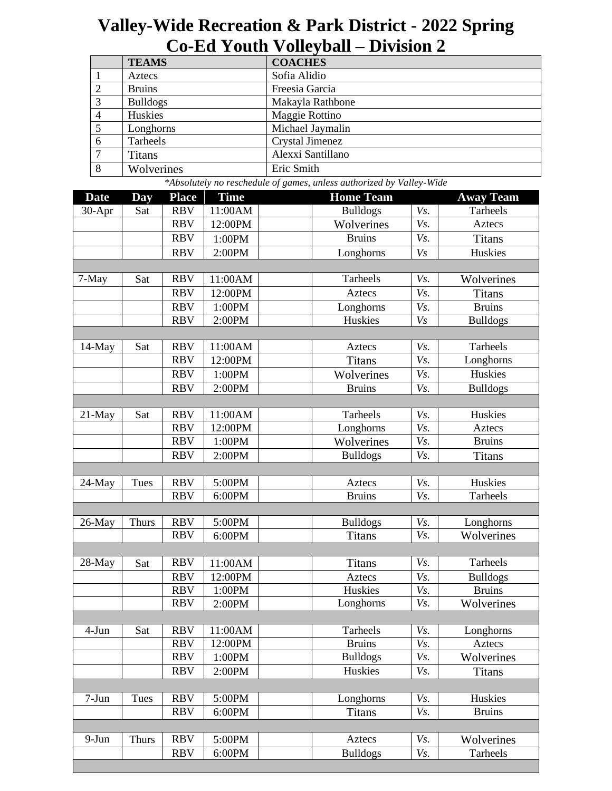## **Valley-Wide Recreation & Park District - 2022 Spring Co-Ed Youth Volleyball – Division 2**

|                | <b>TEAMS</b><br><b>COACHES</b>                                       |              |      |                   |                  |  |
|----------------|----------------------------------------------------------------------|--------------|------|-------------------|------------------|--|
|                | Aztecs                                                               |              |      | Sofia Alidio      |                  |  |
| 2              | <b>Bruins</b>                                                        |              |      | Freesia Garcia    |                  |  |
| 3              | <b>Bulldogs</b>                                                      |              |      | Makayla Rathbone  |                  |  |
| $\overline{4}$ | Huskies                                                              |              |      | Maggie Rottino    |                  |  |
| 5              | Longhorns                                                            |              |      | Michael Jaymalin  |                  |  |
| 6              | Tarheels                                                             |              |      | Crystal Jimenez   |                  |  |
|                | <b>Titans</b>                                                        |              |      | Alexxi Santillano |                  |  |
| 8              | Wolverines                                                           |              |      | Eric Smith        |                  |  |
|                | *Absolutely no reschedule of games, unless authorized by Valley-Wide |              |      |                   |                  |  |
| <b>Date</b>    | Day                                                                  | <b>Place</b> | Time | <b>Home Team</b>  | <b>Away Team</b> |  |

| vate      | шау          | 1 lacc     | <u>тинс</u> | поше теаш       |     | Away Team       |
|-----------|--------------|------------|-------------|-----------------|-----|-----------------|
| $30-Apr$  | Sat          | <b>RBV</b> | 11:00AM     | <b>Bulldogs</b> | Vs. | Tarheels        |
|           |              | <b>RBV</b> | 12:00PM     | Wolverines      | Vs. | Aztecs          |
|           |              | <b>RBV</b> | 1:00PM      | <b>Bruins</b>   | Vs. | <b>Titans</b>   |
|           |              | <b>RBV</b> | 2:00PM      | Longhorns       | Vs  | Huskies         |
|           |              |            |             |                 |     |                 |
| 7-May     | Sat          | <b>RBV</b> | 11:00AM     | Tarheels        | Vs. | Wolverines      |
|           |              | <b>RBV</b> | 12:00PM     | <b>Aztecs</b>   | Vs. | <b>Titans</b>   |
|           |              | <b>RBV</b> | 1:00PM      | Longhorns       | Vs. | <b>Bruins</b>   |
|           |              | <b>RBV</b> | 2:00PM      | Huskies         | Vs  | <b>Bulldogs</b> |
|           |              |            |             |                 |     |                 |
| 14-May    | Sat          | <b>RBV</b> | 11:00AM     | Aztecs          | Vs. | Tarheels        |
|           |              | <b>RBV</b> | 12:00PM     | <b>Titans</b>   | Vs. | Longhorns       |
|           |              | <b>RBV</b> | 1:00PM      | Wolverines      | Vs. | Huskies         |
|           |              | <b>RBV</b> | 2:00PM      | <b>Bruins</b>   | Vs. | <b>Bulldogs</b> |
|           |              |            |             |                 |     |                 |
| $21$ -May | Sat          | <b>RBV</b> | 11:00AM     | Tarheels        | Vs. | Huskies         |
|           |              | <b>RBV</b> | 12:00PM     | Longhorns       | Vs. | Aztecs          |
|           |              | <b>RBV</b> | 1:00PM      | Wolverines      | Vs. | <b>Bruins</b>   |
|           |              | <b>RBV</b> | 2:00PM      | <b>Bulldogs</b> | Vs. | <b>Titans</b>   |
|           |              |            |             |                 |     |                 |
| 24-May    | Tues         | <b>RBV</b> | 5:00PM      | Aztecs          | Vs. | Huskies         |
|           |              | <b>RBV</b> | 6:00PM      | <b>Bruins</b>   | Vs. | Tarheels        |
|           |              |            |             |                 |     |                 |
| 26-May    | <b>Thurs</b> | <b>RBV</b> | 5:00PM      | <b>Bulldogs</b> | Vs. | Longhorns       |
|           |              | <b>RBV</b> | 6:00PM      | <b>Titans</b>   | Vs. | Wolverines      |
|           |              |            |             |                 |     |                 |
| 28-May    | Sat          | <b>RBV</b> | 11:00AM     | <b>Titans</b>   | Vs. | Tarheels        |
|           |              | <b>RBV</b> | 12:00PM     | Aztecs          | Vs. | <b>Bulldogs</b> |
|           |              | <b>RBV</b> | 1:00PM      | Huskies         | Vs. | <b>Bruins</b>   |
|           |              | <b>RBV</b> | 2:00PM      | Longhorns       | Vs. | Wolverines      |
|           |              |            |             |                 |     |                 |
| 4-Jun     | Sat          | <b>RBV</b> | 11:00AM     | Tarheels        | Vs. | Longhorns       |
|           |              | <b>RBV</b> | 12:00PM     | <b>Bruins</b>   | Vs. | Aztecs          |
|           |              | <b>RBV</b> | 1:00PM      | <b>Bulldogs</b> | Vs. | Wolverines      |
|           |              | <b>RBV</b> | 2:00PM      | Huskies         | Vs. | <b>Titans</b>   |
|           |              |            |             |                 |     |                 |
| $7-Jun$   | Tues         | <b>RBV</b> | 5:00PM      | Longhorns       | Vs. | Huskies         |
|           |              | <b>RBV</b> | 6:00PM      | <b>Titans</b>   | Vs. | <b>Bruins</b>   |
|           |              |            |             |                 |     |                 |
| $9-Jun$   | <b>Thurs</b> | <b>RBV</b> | 5:00PM      | Aztecs          | Vs. | Wolverines      |
|           |              | <b>RBV</b> | 6:00PM      | <b>Bulldogs</b> | Vs. | Tarheels        |
|           |              |            |             |                 |     |                 |